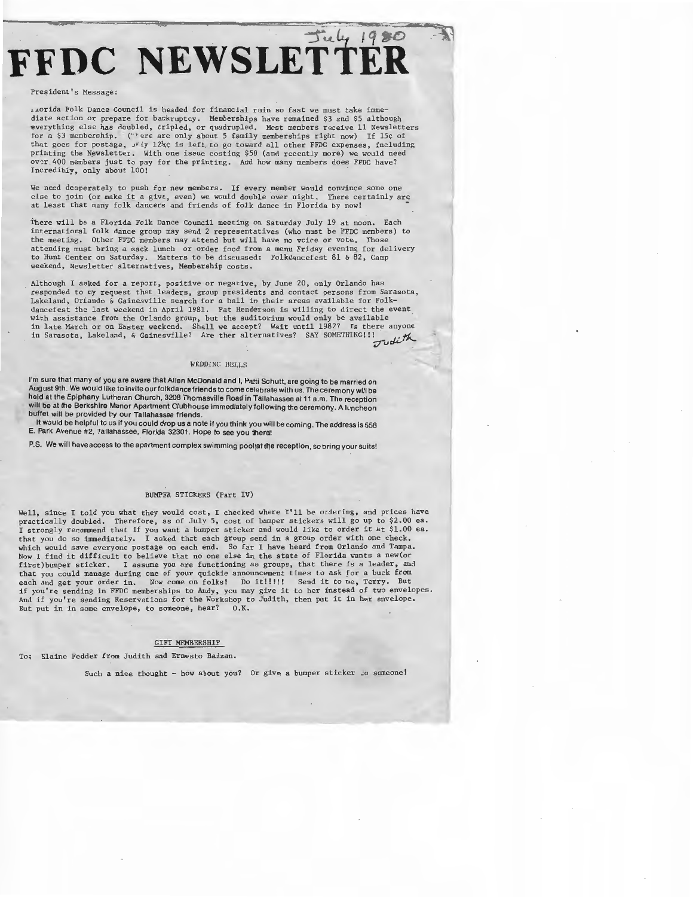# FFDC NEWSLETTER

#### **President's Message:**

**.1.J..orida Folk Dance Council is headed for financial ruin so fast we must take imme-**diate action or prepare for bankruptcy. Memberships have remained \$3 and \$5 although ~verything else has noubled, tripled, or quadrupled. Most members receive 11 Newsletters for a \$3 membership. ('·' ere are only about 5 family memberships right now) If 15¢ of that goes for postage,  $J^g$  iy 12<sup>1</sup><sub>4</sub>¢ is left to go toward all other FFDC expenses, including printing the Newsletter. With one issue costing \$50 (and recently more) we would need over 400 members just to pay for the printing. And how many members does FFDC have? Incredibly, only about 100!

**We need desperately to push for new members. If every member would convince some one**  else to join (or make it a givt, even) we would double over night. There certainly are at least that many folk dancers and friends of folk dance in Florida by now!

There will be a Florida Folk Dance Council meeting on Saturday July 19 at noon. Each international folk dance group may send 2 representatives (who must be FFDC members) to the meeting. Other FFDC members may attend but will have no voice or vote. **attending must bring a sack lunch or order food from a menu Friday evening for delivery**  to Hunt Center on Saturday. Matters to be discussed: Folkdancefest 81 & 82, Camp **weekend, Newsletter alternatives, Membership costs.** 

Although I asked for a report, positive or negative, by June 20, only Orlando has **responded to my request that leaders, group presidents and contact persons from Sarasota,**  Lakeland, Orlando & Gainesville search for a hall in their areas available for Folk-dancefest the last weekend in April 1981. Pat Henderson is willing to direct the event with assistance from the Orlando group, but the auditorium would only be available in late March or on Easter weekend. Shall we accept? Wait until 1982? Is there anyone in Sarasota, Lakeland, & Gainesville? Are ther alternatives? SAY SOMETHING!!! *-zTvrJ.v'''-*

## WEDDING BELLS

I'm sure that many of you are aware that Allen McDonald and I, Patti Schutt, are going to be married on August 9th. We would like to invite ourfolkdance friends to come celebrate with us. The ceremony will be held at the Epiphany Lutheran Church, 3208 Thomasville Road in Tallahassee at 11 a.m. The reception will be at the Berkshire Manor Apartment Clubhouse immediately following the ceremony. A luncheon buffet will be provided by our Tallahassee friends.

It would be helpful to us if you could drop us a note if you think you will be coming. The address is 558 E. Park Avenue #2, Tallahassee, Florida 32301. Hope to see you thera!

P.S. We will have access to the apartment complex swimming poolat the reception, so bring your suits!

# BUMPER STICKERS (Part IV)

Well, since I told you what they would cost, I checked where I'll be ordering, and prices have practically doubled. Therefore, as of July 5, cost of bumper stickers will go up to \$2.00 ea. I strongly recommend that if you want a bumper sticker and would like to order it at \$1.00 ea. that you do so immediately. I asked that each group send in a group order with one check, which would save everyone postage on each end. So far I have heard from Orlando and Tampa. Now I find it difficult to believe that no one else in the state of Florida wants a new(or<br>first)bumper sticker, I assume you are functioning as groups, that there is a leader, and I assume you are functioning as groups, that there is a leader, and **that you could manage during one of your quickie announc.ement times to ask** *tor* **a buck from**  each and get your order in. Now come on folks! Do it!!!!! Send it to me, Terry. But<br>if you're sending in FFDC memberships to Andy, you may give it to her instead of two envelopes.<br>And if you're sending Reservations for the **But put in in some envelope, to someone, hear? O.K.** 

#### GIFT MEMBERSHIP

To; Elaine Fedder from Judith and Ernesto Baizan.

Such a nice thought - how about you? Or give a bumper sticker  $\omega$  someone!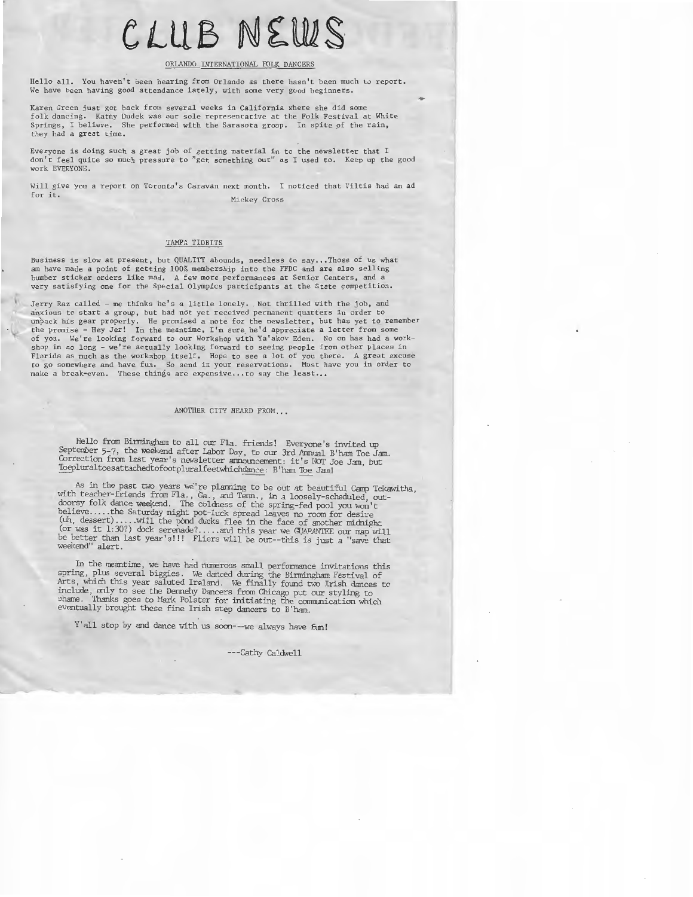# **CLUB NtWS**

### ORLANDO INTERNATIONAL FOLK DANCERS

Hello all. You haven't been hearing from Orlando as there hasn't been much to report. We have been having good attendance lately, with some very good beginners.

**Karen Green just got back from several weeks in California where she did some**  folk dancing. Kathy Dudek was our sole representative at the Folk Festival at White Springs, I believe. She performed with the Sarasota group. In spite of the rain, they had a great time.

**Everyone is doing such a great job of getting material in to the newsletter that I don't feel quite so much pressure to "get something out" as I used to . Keep up the good**  work EVERYONE.

Will give you a report on Toronto's Caravan next month. I noticed that Viltis had an ad for it. **Mickey Cross** 

# TAMPA TIDBITS

**Business is slow at present, but QUALITY abounds, needless to say ... Those of us what**  am have made a point of getting 100% membership into the FFDC and are also selling **bumber sticker orders like mad. A few more performances at Senior Centers, and a**  very satisfying one for the Special Olympics participants at the State competition.

Jerry Raz called - me thinks he's a little lonely. Not thrilled with the job, and anxious to start a group, but had not yet received permanent quarters in order to unpack his gear properly. He promised a note for the newsletter, but has yet to remember<br>the promise - Hey Jer! In the meantime, I'm sure he **shop in so long - we're actually looking forward to seeing people from other places in Florida as much as the workshop itself. Hope to see a lot of you there. A great excuse to go somewhere and have fun. So send in your reservations. Must have you in order to**  make a break-even. These things are expensive... to say the least...

# ANOTHER CITY HEARD FROM...

Hello from Birmingham to all our Fla. friends! Everyone's invited up September 5-7, the weekend after Labor Day, to our 3rd Annual B'ham Toe Jam.<br>Correction from last year's newsletter armouncement: it's NOT Joe Jam, but<br>Toepluraltoesattachedtofootpluralfeetwhichdance: B'ham Toe Jam!

As in the past two years we're planning to be out at beautiful Camp Tekawitha,<br>with teacher-friends from Fla., Ga., and Term., in a loosely-scheduled, out-<br>with teacher-friends from Fla., Ga., and Term., in a loosely-sche

In the meantime, we have had numerous small performance invitations this spring, plus several biggies. We danced during the Birmingham Festival of Arts, which this year saluted Ireland. We finally found two Irish dances to

Y'all stop by and dance with *us* soon---we always have fun!

---Cathy Caldwell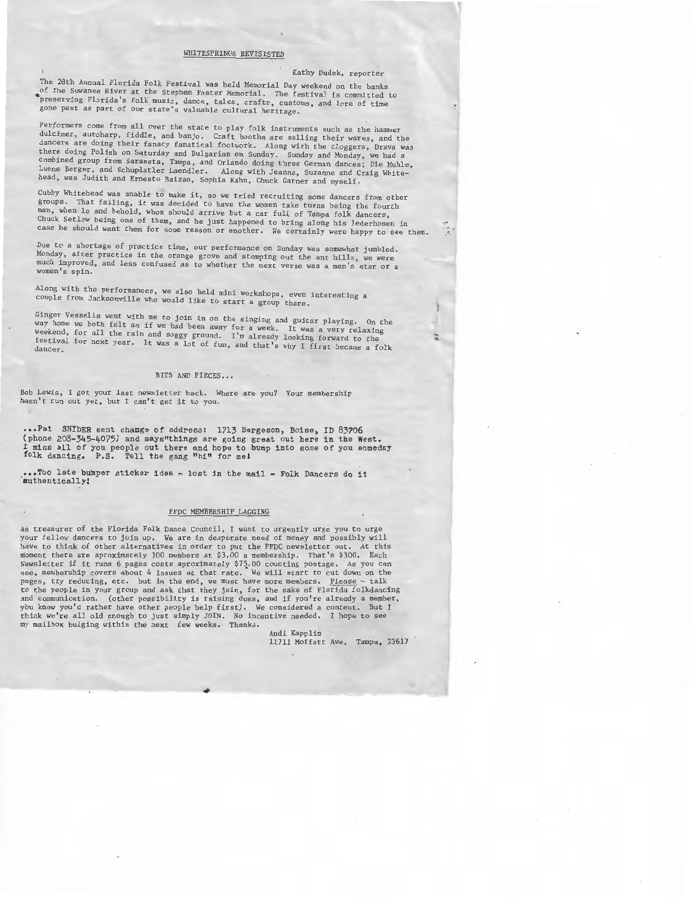#### WHITESPRINGS REVISISTED

# Kathy Dudek, reporter

The 28th Annual Florida Folk Festival was held Memorial Day weekend on the banks of the Suwanee River at the Stephen Foster Memorial. The festival is committed to preserving Florida's folk music, dance, tales, crafts, customs, and lore of time **gone past as part of our state's valuable cultural heritage.** 

**Performers come from all over the state to play folk instruments such as the hammer dulcimer, autoharp, fiddle, and banjo. Craft booths are selling their wares, and the dancers are doing their fanacy fanatical footwork. Along with the cloggers, Drava was**  there doing Polish on Saturday and Bulgarian on Sunday. Sunday and Monday, we had a **combined group from Sarasota, Tampa, and Orlando doing three German dances; Die Muhle, Luene Berger, and Schuplatler Laendler. Along with Jeanne, Suzanne and Craig White-head, was Judith and Ernesto Baizan, Sophia Kahn, Chuck Garner and myself.** 

**Cubby Whitehead was unable to make it, so we tried recruiting some dancers from other**  groups. That failing, it was decided to have the women take turns being the fourth **man, when lo and behold, whom should arrive but a car full of Tampa folk dancers,**  Chuck Setlow being one of them, and he just happened to bring along his lederhosen in **case he should want them for some reason or another.** *We* **certainly were happy to see them.** 

**Due to a shortage of practice time, our performance on Sunday was somewhat jumbled. Monday, after practice in the orange grove and stomping out the ant hills, we were**  much improved, and less confused as to whether the next verse was a men's star or a women's spin.

**Along with the performances, we also held mini workshops, even interesting a couple from Jacksonville who would like to start a group there.** 

**Ginger Vessells went with me to join in on the singing and guitar playing. On the**  way home we both felt as if we had been away for a week. It was a very relaxing<br>weekend, for all the rain and soggy ground. I'm already looking forward to the festival for next year. It was a lot of fun, and that's why I first became a folk

# BITS AND PIECES...

**Bob Lewis, I got your last newsletter back. Where are you? Your membership**  hasn't run out yet, but I can't get it to you.

••• Pat SNIDER sent change of address: 1713 Bergeson, Boise, ID 83706 (phone 208-345-4075) and says"things are going great out here in the West.<br>I miss all of you people out there and hope to bump into some of you someday folk dancing. P.S. Tell the gang "hi" for me!

••• Too late bumper sticker idea~ lost in the mail - Folk Dancers do it **'authentically l** 

#### FFDC MEMBERSHIP LAGGING

As treasurer of the Florida Folk Dance Council, I want to urgently urge you to urge your fellow dancers to join up. We are in desperate need of money and possibly will<br>have to think of other alternatives in order to put the FFDC newsletter out. At this<br>moment there are aproximately 100 members at \$3.00 a Newsletter if it runs 6 pages costs aproximately \$75.00 counting postage. As you can see, membership covers about 4 issues at that rate. We will start to cut down on the pages, try reducing, etc. but in the end, we must have more members. Please - talk to the people in your group and ask that they join, for the sake of Florida folkdancing **and communication. (other possibility is raising dues, and if you're already a member,**  you know you'd rather have other people help first). We considered a contest. But I think we're all old enough to just simply JOIN. No incentive needed. I hope to see my mailbox bulging within the next few weeks. Thanks.

Andi Kapplin 11711 Moffatt Ave. Tampa, 33617